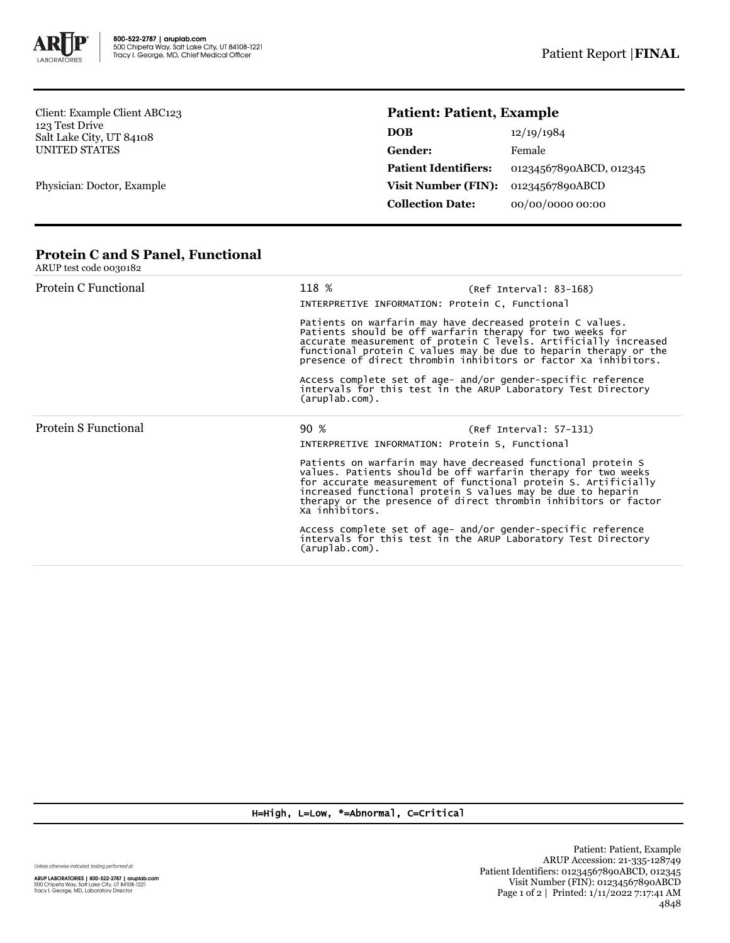

Client: Example Client ABC123 123 Test Drive Salt Lake City, UT 84108 UNITED STATES

Physician: Doctor, Example

## **Patient: Patient, Example**

| <b>DOB</b>                  | 12/19/1984              |
|-----------------------------|-------------------------|
| Gender:                     | Female                  |
| <b>Patient Identifiers:</b> | 01234567890ABCD, 012345 |
| Visit Number (FIN):         | 01234567890ABCD         |
| <b>Collection Date:</b>     | 00/00/0000 00:00        |

## **Protein C and S Panel, Functional**

| ARUP test code 0030182 |                                                                                                                                                 |                                                                                                                                                                                                                                                                                                                                   |  |  |
|------------------------|-------------------------------------------------------------------------------------------------------------------------------------------------|-----------------------------------------------------------------------------------------------------------------------------------------------------------------------------------------------------------------------------------------------------------------------------------------------------------------------------------|--|--|
| Protein C Functional   | 118 %                                                                                                                                           | $(Ref Interval: 83-168)$<br>INTERPRETIVE INFORMATION: Protein C, Functional                                                                                                                                                                                                                                                       |  |  |
|                        |                                                                                                                                                 | Patients on warfarin may have decreased protein C values.<br>Patients should be off warfarin therapy for two weeks for<br>accurate measurement of protein C levels. Artificially increased<br>functional protein C values may be due to heparin therapy or the<br>presence of direct thrombin inhibitors or factor Xa inhibitors. |  |  |
|                        | Access complete set of age- and/or gender-specific reference<br>intervals for this test in the ARUP Laboratory Test Directory<br>(aruplab.com). |                                                                                                                                                                                                                                                                                                                                   |  |  |
| Protein S Functional   | 90 %                                                                                                                                            | $(Ref Interval: 57-131)$                                                                                                                                                                                                                                                                                                          |  |  |
|                        | INTERPRETIVE INFORMATION: Protein S, Functional                                                                                                 |                                                                                                                                                                                                                                                                                                                                   |  |  |
|                        | Xa inhibitors.                                                                                                                                  | Patients on warfarin may have decreased functional protein S<br>values. Patients should be off warfarin therapy for two weeks<br>for accurate measurement of functional protein S. Artificially<br>increased functional protein S values may be due to heparin<br>therapy or the presence of direct thrombin inhibitors or factor |  |  |
|                        | (aruplab.com).                                                                                                                                  | Access complete set of age- and/or gender-specific reference<br>intervals for this test in the ARUP Laboratory Test Directory                                                                                                                                                                                                     |  |  |

H=High, L=Low, \*=Abnormal, C=Critical

Unless otherwise indicated, testing performed at: